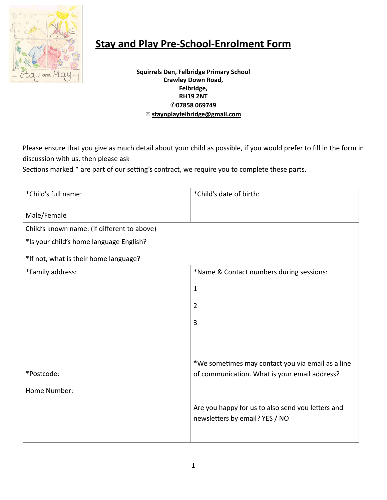

## **[Stay](https://www.gov.uk/government/uploads/system/uploads/attachment_data/file/596629/EYFS_STATUTORY_FRAMEWORK_2017.pdf) and Play Pre-School-Enrolment Form**

**Squirrels Den, Felbridge Primary School Crawley Down Road, Felbridge, RH19 2NT**  ✆**07858 069749**  ✉ **[staynplayfelbridge@gmail.com](mailto:staynplayfelbridge@gmail.com)**

Please ensure that you give as much detail about your child as possible, if you would prefer to fill in the form in discussion with us, then please ask

Sections marked \* are part of our setting's contract, we require you to complete these parts.

| *Child's full name:                         | *Child's date of birth:                                                                            |
|---------------------------------------------|----------------------------------------------------------------------------------------------------|
| Male/Female                                 |                                                                                                    |
| Child's known name: (if different to above) |                                                                                                    |
| *Is your child's home language English?     |                                                                                                    |
| *If not, what is their home language?       |                                                                                                    |
| *Family address:                            | *Name & Contact numbers during sessions:                                                           |
|                                             | $\mathbf{1}$                                                                                       |
|                                             | $\overline{2}$                                                                                     |
|                                             | 3                                                                                                  |
|                                             |                                                                                                    |
| *Postcode:<br>Home Number:                  | *We sometimes may contact you via email as a line<br>of communication. What is your email address? |
|                                             | Are you happy for us to also send you letters and<br>newsletters by email? YES / NO                |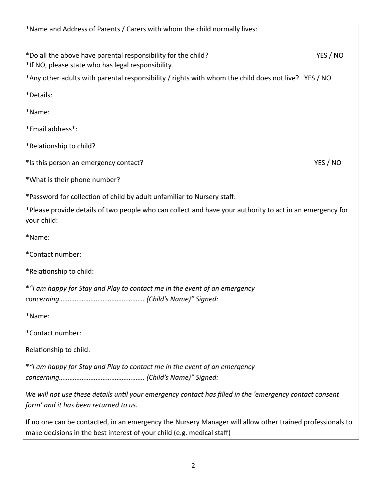| *Name and Address of Parents / Carers with whom the child normally lives:                                                                                                           |          |
|-------------------------------------------------------------------------------------------------------------------------------------------------------------------------------------|----------|
| *Do all the above have parental responsibility for the child?<br>*If NO, please state who has legal responsibility.                                                                 | YES / NO |
| *Any other adults with parental responsibility / rights with whom the child does not live? YES / NO                                                                                 |          |
| *Details:                                                                                                                                                                           |          |
| *Name:                                                                                                                                                                              |          |
| *Email address*:                                                                                                                                                                    |          |
| *Relationship to child?                                                                                                                                                             |          |
| *Is this person an emergency contact?                                                                                                                                               | YES / NO |
| *What is their phone number?                                                                                                                                                        |          |
| *Password for collection of child by adult unfamiliar to Nursery staff:                                                                                                             |          |
| *Please provide details of two people who can collect and have your authority to act in an emergency for<br>your child:                                                             |          |
| *Name:                                                                                                                                                                              |          |
| *Contact number:                                                                                                                                                                    |          |
| *Relationship to child:                                                                                                                                                             |          |
| *"I am happy for Stay and Play to contact me in the event of an emergency                                                                                                           |          |
|                                                                                                                                                                                     |          |
| *Name:                                                                                                                                                                              |          |
| *Contact number:                                                                                                                                                                    |          |
| Relationship to child:                                                                                                                                                              |          |
| *"I am happy for Stay and Play to contact me in the event of an emergency                                                                                                           |          |
| We will not use these details until your emergency contact has filled in the 'emergency contact consent<br>form' and it has been returned to us.                                    |          |
| If no one can be contacted, in an emergency the Nursery Manager will allow other trained professionals to<br>make decisions in the best interest of your child (e.g. medical staff) |          |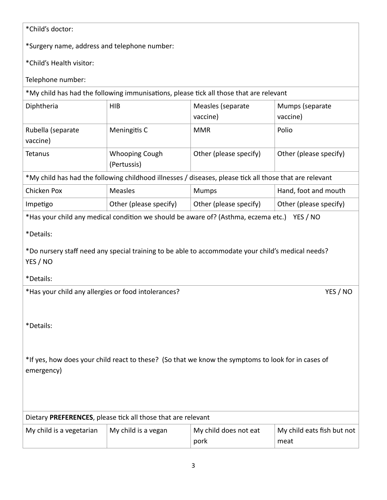## \*Child's doctor:

\*Surgery name, address and telephone number:

\*Child's Health visitor:

Telephone number:

| *My child has had the following immunisations, please tick all those that are relevant |  |
|----------------------------------------------------------------------------------------|--|
|----------------------------------------------------------------------------------------|--|

| Diphtheria                    | <b>HIB</b>                           | Measles (separate<br>vaccine)                                                                            | Mumps (separate<br>vaccine) |
|-------------------------------|--------------------------------------|----------------------------------------------------------------------------------------------------------|-----------------------------|
| Rubella (separate<br>vaccine) | Meningitis C                         | <b>MMR</b>                                                                                               | Polio                       |
| Tetanus                       | <b>Whooping Cough</b><br>(Pertussis) | Other (please specify)                                                                                   | Other (please specify)      |
|                               |                                      | $*$ Muchild bas had the following shildhood illnesses Ldissasses please tick all those that are relevant |                             |

My child has had the following childhood illnesses / diseases, please tick all those that are relevant

| Chicken Pox | <b>Measles</b>         | <b>Mumps</b>           | Hand, foot and mouth   |
|-------------|------------------------|------------------------|------------------------|
| Impetigo    | Other (please specify) | Other (please specify) | Other (please specify) |

\*Has your child any medical condition we should be aware of? (Asthma, eczema etc.) YES / NO

\*Details:

\*Do nursery staff need any special training to be able to accommodate your child's medical needs? YES / NO

\*Details:

\*Has your child any allergies or food intolerances? YES / NO

\*Details:

\*If yes, how does your child react to these? (So that we know the symptoms to look for in cases of emergency)

|                          | Dietary PREFERENCES, please tick all those that are relevant |                               |                                    |
|--------------------------|--------------------------------------------------------------|-------------------------------|------------------------------------|
| My child is a vegetarian | My child is a vegan                                          | My child does not eat<br>pork | My child eats fish but not<br>meat |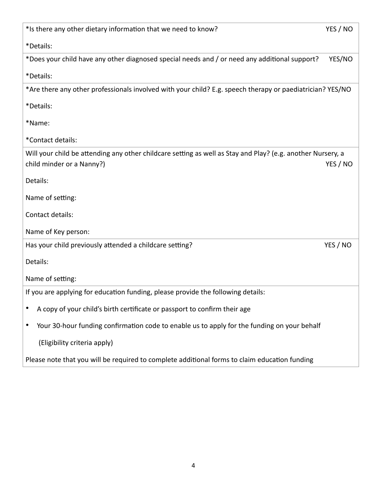| *Is there any other dietary information that we need to know?                                               | YES / NO |
|-------------------------------------------------------------------------------------------------------------|----------|
| *Details:                                                                                                   |          |
| *Does your child have any other diagnosed special needs and / or need any additional support?               | YES/NO   |
| *Details:                                                                                                   |          |
| *Are there any other professionals involved with your child? E.g. speech therapy or paediatrician? YES/NO   |          |
| *Details:                                                                                                   |          |
| *Name:                                                                                                      |          |
| *Contact details:                                                                                           |          |
| Will your child be attending any other childcare setting as well as Stay and Play? (e.g. another Nursery, a |          |
| child minder or a Nanny?)                                                                                   | YES / NO |
| Details:                                                                                                    |          |
| Name of setting:                                                                                            |          |
| Contact details:                                                                                            |          |
| Name of Key person:                                                                                         |          |
| Has your child previously attended a childcare setting?                                                     | YES / NO |
| Details:                                                                                                    |          |
| Name of setting:                                                                                            |          |
| If you are applying for education funding, please provide the following details:                            |          |
| A copy of your child's birth certificate or passport to confirm their age                                   |          |
| Your 30-hour funding confirmation code to enable us to apply for the funding on your behalf                 |          |
| (Eligibility criteria apply)                                                                                |          |
| Please note that you will be required to complete additional forms to claim education funding               |          |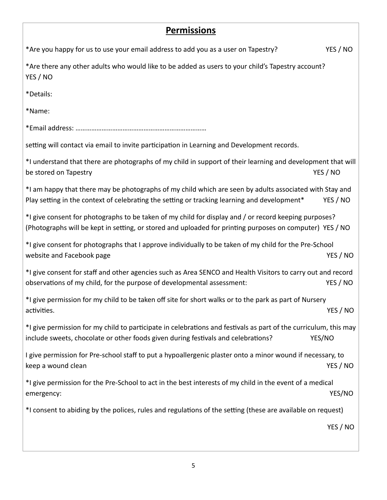Г

| <u>Permissions</u>                                                                                                                                                                                                |          |
|-------------------------------------------------------------------------------------------------------------------------------------------------------------------------------------------------------------------|----------|
| *Are you happy for us to use your email address to add you as a user on Tapestry?                                                                                                                                 | YES / NO |
| *Are there any other adults who would like to be added as users to your child's Tapestry account?<br>YES / NO                                                                                                     |          |
| *Details:                                                                                                                                                                                                         |          |
| *Name:                                                                                                                                                                                                            |          |
|                                                                                                                                                                                                                   |          |
| setting will contact via email to invite participation in Learning and Development records.                                                                                                                       |          |
| *I understand that there are photographs of my child in support of their learning and development that will<br>be stored on Tapestry                                                                              | YES / NO |
| *I am happy that there may be photographs of my child which are seen by adults associated with Stay and<br>Play setting in the context of celebrating the setting or tracking learning and development*           | YES / NO |
| *I give consent for photographs to be taken of my child for display and / or record keeping purposes?<br>(Photographs will be kept in setting, or stored and uploaded for printing purposes on computer) YES / NO |          |
| *I give consent for photographs that I approve individually to be taken of my child for the Pre-School<br>website and Facebook page                                                                               | YES / NO |
| *I give consent for staff and other agencies such as Area SENCO and Health Visitors to carry out and record<br>observations of my child, for the purpose of developmental assessment:                             | YES / NO |
| *I give permission for my child to be taken off site for short walks or to the park as part of Nursery<br>activities.                                                                                             | YES / NO |
| *I give permission for my child to participate in celebrations and festivals as part of the curriculum, this may<br>include sweets, chocolate or other foods given during festivals and celebrations?             | YES/NO   |
| I give permission for Pre-school staff to put a hypoallergenic plaster onto a minor wound if necessary, to<br>keep a wound clean                                                                                  | YES / NO |
| *I give permission for the Pre-School to act in the best interests of my child in the event of a medical<br>emergency:                                                                                            | YES/NO   |
| *I consent to abiding by the polices, rules and regulations of the setting (these are available on request)                                                                                                       |          |
|                                                                                                                                                                                                                   | YES / NO |
|                                                                                                                                                                                                                   |          |